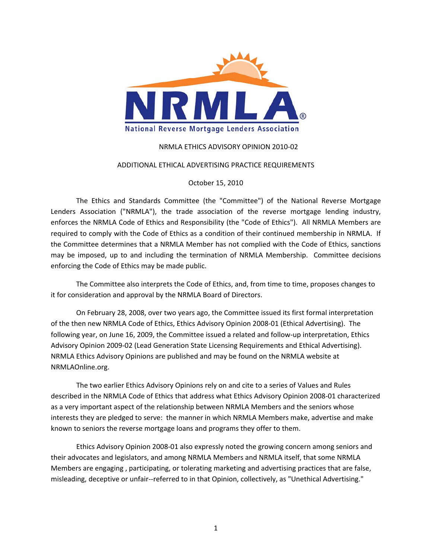

# NRMLA ETHICS ADVISORY OPINION 2010‐02

#### ADDITIONAL ETHICAL ADVERTISING PRACTICE REQUIREMENTS

### October 15, 2010

The Ethics and Standards Committee (the "Committee") of the National Reverse Mortgage Lenders Association ("NRMLA"), the trade association of the reverse mortgage lending industry, enforces the NRMLA Code of Ethics and Responsibility (the "Code of Ethics"). All NRMLA Members are required to comply with the Code of Ethics as a condition of their continued membership in NRMLA. If the Committee determines that a NRMLA Member has not complied with the Code of Ethics, sanctions may be imposed, up to and including the termination of NRMLA Membership. Committee decisions enforcing the Code of Ethics may be made public.

The Committee also interprets the Code of Ethics, and, from time to time, proposes changes to it for consideration and approval by the NRMLA Board of Directors.

On February 28, 2008, over two years ago, the Committee issued its first formal interpretation of the then new NRMLA Code of Ethics, Ethics Advisory Opinion 2008‐01 (Ethical Advertising). The following year, on June 16, 2009, the Committee issued a related and follow-up interpretation, Ethics Advisory Opinion 2009‐02 (Lead Generation State Licensing Requirements and Ethical Advertising). NRMLA Ethics Advisory Opinions are published and may be found on the NRMLA website at NRMLAOnline.org.

The two earlier Ethics Advisory Opinions rely on and cite to a series of Values and Rules described in the NRMLA Code of Ethics that address what Ethics Advisory Opinion 2008‐01 characterized as a very important aspect of the relationship between NRMLA Members and the seniors whose interests they are pledged to serve: the manner in which NRMLA Members make, advertise and make known to seniors the reverse mortgage loans and programs they offer to them.

Ethics Advisory Opinion 2008‐01 also expressly noted the growing concern among seniors and their advocates and legislators, and among NRMLA Members and NRMLA itself, that some NRMLA Members are engaging , participating, or tolerating marketing and advertising practices that are false, misleading, deceptive or unfair--referred to in that Opinion, collectively, as "Unethical Advertising."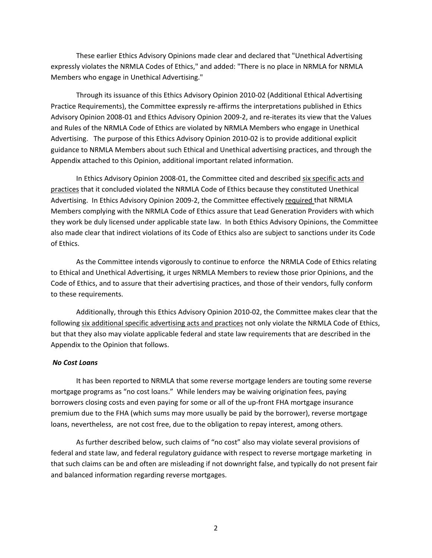These earlier Ethics Advisory Opinions made clear and declared that "Unethical Advertising expressly violates the NRMLA Codes of Ethics," and added: "There is no place in NRMLA for NRMLA Members who engage in Unethical Advertising."

Through its issuance of this Ethics Advisory Opinion 2010‐02 (Additional Ethical Advertising Practice Requirements), the Committee expressly re‐affirms the interpretations published in Ethics Advisory Opinion 2008‐01 and Ethics Advisory Opinion 2009‐2, and re‐iterates its view that the Values and Rules of the NRMLA Code of Ethics are violated by NRMLA Members who engage in Unethical Advertising. The purpose of this Ethics Advisory Opinion 2010‐02 is to provide additional explicit guidance to NRMLA Members about such Ethical and Unethical advertising practices, and through the Appendix attached to this Opinion, additional important related information.

In Ethics Advisory Opinion 2008‐01, the Committee cited and described six specific acts and practices that it concluded violated the NRMLA Code of Ethics because they constituted Unethical Advertising. In Ethics Advisory Opinion 2009‐2, the Committee effectively required that NRMLA Members complying with the NRMLA Code of Ethics assure that Lead Generation Providers with which they work be duly licensed under applicable state law. In both Ethics Advisory Opinions, the Committee also made clear that indirect violations of its Code of Ethics also are subject to sanctions under its Code of Ethics.

As the Committee intends vigorously to continue to enforce the NRMLA Code of Ethics relating to Ethical and Unethical Advertising, it urges NRMLA Members to review those prior Opinions, and the Code of Ethics, and to assure that their advertising practices, and those of their vendors, fully conform to these requirements.

Additionally, through this Ethics Advisory Opinion 2010‐02, the Committee makes clear that the following six additional specific advertising acts and practices not only violate the NRMLA Code of Ethics, but that they also may violate applicable federal and state law requirements that are described in the Appendix to the Opinion that follows.

### *No Cost Loans*

It has been reported to NRMLA that some reverse mortgage lenders are touting some reverse mortgage programs as "no cost loans." While lenders may be waiving origination fees, paying borrowers closing costs and even paying for some or all of the up-front FHA mortgage insurance premium due to the FHA (which sums may more usually be paid by the borrower), reverse mortgage loans, nevertheless, are not cost free, due to the obligation to repay interest, among others.

As further described below, such claims of "no cost" also may violate several provisions of federal and state law, and federal regulatory guidance with respect to reverse mortgage marketing in that such claims can be and often are misleading if not downright false, and typically do not present fair and balanced information regarding reverse mortgages.

2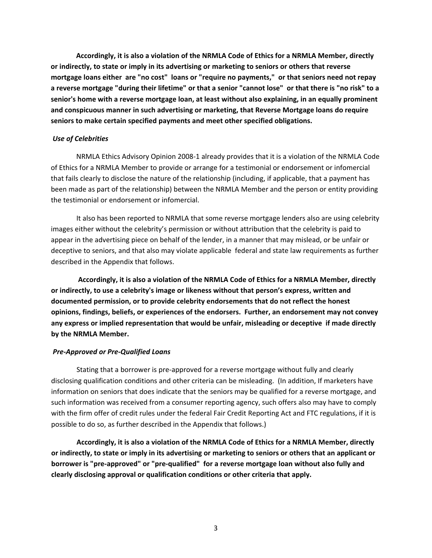**Accordingly, it is also a violation of the NRMLA Code of Ethics for a NRMLA Member, directly or indirectly, to state or imply in its advertising or marketing to seniors or others that reverse** mortgage loans either are "no cost" loans or "require no payments," or that seniors need not repay a reverse mortgage "during their lifetime" or that a senior "cannot lose" or that there is "no risk" to a **senior's home with a reverse mortgage loan, at least without also explaining, in an equally prominent and conspicuous manner in such advertising or marketing, that Reverse Mortgage loans do require seniors to make certain specified payments and meet other specified obligations.**

#### *Use of Celebrities*

NRMLA Ethics Advisory Opinion 2008‐1 already provides that it is a violation of the NRMLA Code of Ethics for a NRMLA Member to provide or arrange for a testimonial or endorsement or infomercial that fails clearly to disclose the nature of the relationship (including, if applicable, that a payment has been made as part of the relationship) between the NRMLA Member and the person or entity providing the testimonial or endorsement or infomercial.

It also has been reported to NRMLA that some reverse mortgage lenders also are using celebrity images either without the celebrity's permission or without attribution that the celebrity is paid to appear in the advertising piece on behalf of the lender, in a manner that may mislead, or be unfair or deceptive to seniors, and that also may violate applicable federal and state law requirements as further described in the Appendix that follows.

 **Accordingly, it is also a violation of the NRMLA Code of Ethics for a NRMLA Member, directly or indirectly, to use a celebrity's image or likeness without that person's express, written and documented permission, or to provide celebrity endorsements that do not reflect the honest opinions, findings, beliefs, or experiences of the endorsers. Further, an endorsement may not convey any express or implied representation that would be unfair, misleading or deceptive if made directly by the NRMLA Member.** 

### *Pre‐Approved or Pre‐Qualified Loans*

Stating that a borrower is pre‐approved for a reverse mortgage without fully and clearly disclosing qualification conditions and other criteria can be misleading. (In addition, If marketers have information on seniors that does indicate that the seniors may be qualified for a reverse mortgage, and such information was received from a consumer reporting agency, such offers also may have to comply with the firm offer of credit rules under the federal Fair Credit Reporting Act and FTC regulations, if it is possible to do so, as further described in the Appendix that follows.)

**Accordingly, it is also a violation of the NRMLA Code of Ethics for a NRMLA Member, directly** or indirectly, to state or imply in its advertising or marketing to seniors or others that an applicant or borrower is "pre-approved" or "pre-qualified" for a reverse mortgage loan without also fully and **clearly disclosing approval or qualification conditions or other criteria that apply.**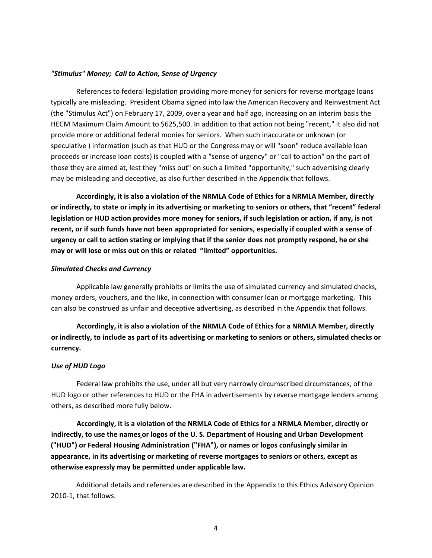### *"Stimulus" Money; Call to Action, Sense of Urgency*

References to federal legislation providing more money for seniors for reverse mortgage loans typically are misleading. President Obama signed into law the American Recovery and Reinvestment Act (the "Stimulus Act") on February 17, 2009, over a year and half ago, increasing on an interim basis the HECM Maximum Claim Amount to \$625,500. In addition to that action not being "recent," it also did not provide more or additional federal monies for seniors. When such inaccurate or unknown (or speculative ) information (such as that HUD or the Congress may or will "soon" reduce available loan proceeds or increase loan costs) is coupled with a "sense of urgency" or "call to action" on the part of those they are aimed at, lest they "miss out" on such a limited "opportunity," such advertising clearly may be misleading and deceptive, as also further described in the Appendix that follows.

**Accordingly, it is also a violation of the NRMLA Code of Ethics for a NRMLA Member, directly** or indirectly, to state or imply in its advertising or marketing to seniors or others, that "recent" federal legislation or HUD action provides more money for seniors, if such legislation or action, if any, is not recent, or if such funds have not been appropriated for seniors, especially if coupled with a sense of urgency or call to action stating or implying that if the senior does not promptly respond, he or she **may or will lose or miss out on this or related "limited" opportunities.** 

#### *Simulated Checks and Currency*

Applicable law generally prohibits or limits the use of simulated currency and simulated checks, money orders, vouchers, and the like, in connection with consumer loan or mortgage marketing. This can also be construed as unfair and deceptive advertising, as described in the Appendix that follows.

**Accordingly, it is also a violation of the NRMLA Code of Ethics for a NRMLA Member, directly** or indirectly, to include as part of its advertising or marketing to seniors or others, simulated checks or **currency.**

#### *Use of HUD Logo*

Federal law prohibits the use, under all but very narrowly circumscribed circumstances, of the HUD logo or other references to HUD or the FHA in advertisements by reverse mortgage lenders among others, as described more fully below.

**Accordingly, it is a violation of the NRMLA Code of Ethics for a NRMLA Member, directly or indirectly, to use the names or logos of the U. S. Department of Housing and Urban Development ("HUD") or Federal Housing Administration ("FHA"), or names or logos confusingly similar in appearance, in its advertising or marketing of reverse mortgages to seniors or others, except as otherwise expressly may be permitted under applicable law.**

Additional details and references are described in the Appendix to this Ethics Advisory Opinion 2010‐1, that follows.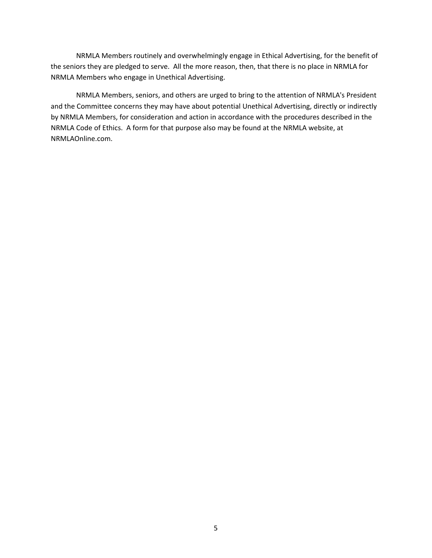NRMLA Members routinely and overwhelmingly engage in Ethical Advertising, for the benefit of the seniors they are pledged to serve. All the more reason, then, that there is no place in NRMLA for NRMLA Members who engage in Unethical Advertising.

NRMLA Members, seniors, and others are urged to bring to the attention of NRMLA's President and the Committee concerns they may have about potential Unethical Advertising, directly or indirectly by NRMLA Members, for consideration and action in accordance with the procedures described in the NRMLA Code of Ethics. A form for that purpose also may be found at the NRMLA website, at NRMLAOnline.com.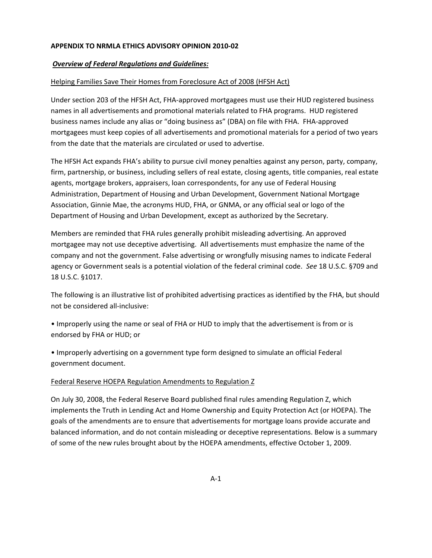# **APPENDIX TO NRMLA ETHICS ADVISORY OPINION 2010‐02**

## *Overview of Federal Regulations and Guidelines:*

## Helping Families Save Their Homes from Foreclosure Act of 2008 (HFSH Act)

Under section 203 of the HFSH Act, FHA‐approved mortgagees must use their HUD registered business names in all advertisements and promotional materials related to FHA programs. HUD registered business names include any alias or "doing business as" (DBA) on file with FHA. FHA‐approved mortgagees must keep copies of all advertisements and promotional materials for a period of two years from the date that the materials are circulated or used to advertise.

The HFSH Act expands FHA's ability to pursue civil money penalties against any person, party, company, firm, partnership, or business, including sellers of real estate, closing agents, title companies, real estate agents, mortgage brokers, appraisers, loan correspondents, for any use of Federal Housing Administration, Department of Housing and Urban Development, Government National Mortgage Association, Ginnie Mae, the acronyms HUD, FHA, or GNMA, or any official seal or logo of the Department of Housing and Urban Development, except as authorized by the Secretary.

Members are reminded that FHA rules generally prohibit misleading advertising. An approved mortgagee may not use deceptive advertising. All advertisements must emphasize the name of the company and not the government. False advertising or wrongfully misusing names to indicate Federal agency or Government seals is a potential violation of the federal criminal code. *See* 18 U.S.C. §709 and 18 U.S.C. §1017.

The following is an illustrative list of prohibited advertising practices as identified by the FHA, but should not be considered all‐inclusive:

• Improperly using the name or seal of FHA or HUD to imply that the advertisement is from or is endorsed by FHA or HUD; or

• Improperly advertising on a government type form designed to simulate an official Federal government document.

### Federal Reserve HOEPA Regulation Amendments to Regulation Z

On July 30, 2008, the Federal Reserve Board published final rules amending Regulation Z, which implements the Truth in Lending Act and Home Ownership and Equity Protection Act (or HOEPA). The goals of the amendments are to ensure that advertisements for mortgage loans provide accurate and balanced information, and do not contain misleading or deceptive representations. Below is a summary of some of the new rules brought about by the HOEPA amendments, effective October 1, 2009.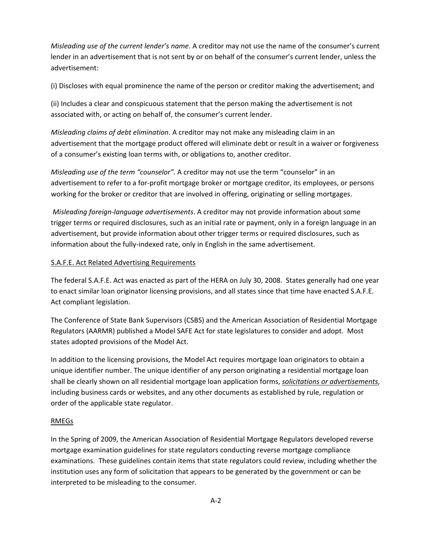*Misleading use of the current lender's name*. A creditor may not use the name of the consumer's current lender in an advertisement that is not sent by or on behalf of the consumer's current lender, unless the advertisement:

(i) Discloses with equal prominence the name of the person or creditor making the advertisement; and

(ii) Includes a clear and conspicuous statement that the person making the advertisement is not associated with, or acting on behalf of, the consumer's current lender.

*Misleading claims of debt elimination*. A creditor may not make any misleading claim in an advertisement that the mortgage product offered will eliminate debt or result in a waiver or forgiveness of a consumer's existing loan terms with, or obligations to, another creditor.

*Misleading use of the term "counselor".* A creditor may not use the term "counselor" in an advertisement to refer to a for‐profit mortgage broker or mortgage creditor, its employees, or persons working for the broker or creditor that are involved in offering, originating or selling mortgages.

*Misleading foreign‐language advertisements*. A creditor may not provide information about some trigger terms or required disclosures, such as an initial rate or payment, only in a foreign language in an advertisement, but provide information about other trigger terms or required disclosures, such as information about the fully‐indexed rate, only in English in the same advertisement.

# S.A.F.E. Act Related Advertising Requirements

The federal S.A.F.E. Act was enacted as part of the HERA on July 30, 2008. States generally had one year to enact similar loan originator licensing provisions, and all states since that time have enacted S.A.F.E. Act compliant legislation.

The Conference of State Bank Supervisors (CSBS) and the American Association of Residential Mortgage Regulators (AARMR) published a Model SAFE Act for state legislatures to consider and adopt. Most states adopted provisions of the Model Act.

In addition to the licensing provisions, the Model Act requires mortgage loan originators to obtain a unique identifier number. The unique identifier of any person originating a residential mortgage loan shall be clearly shown on all residential mortgage loan application forms, *solicitations or advertisements*, including business cards or websites, and any other documents as established by rule, regulation or order of the applicable state regulator.

### RMEGs

In the Spring of 2009, the American Association of Residential Mortgage Regulators developed reverse mortgage examination guidelines for state regulators conducting reverse mortgage compliance examinations. These guidelines contain items that state regulators could review, including whether the institution uses any form of solicitation that appears to be generated by the government or can be interpreted to be misleading to the consumer.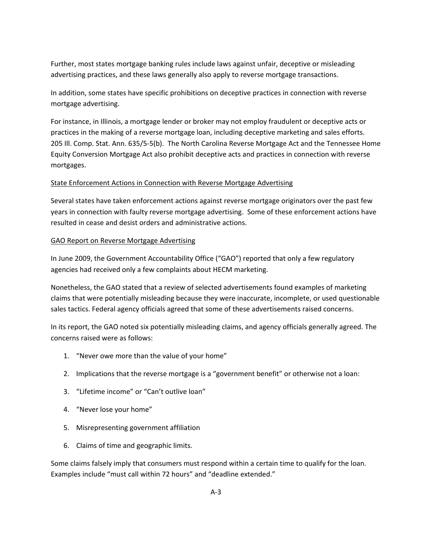Further, most states mortgage banking rules include laws against unfair, deceptive or misleading advertising practices, and these laws generally also apply to reverse mortgage transactions.

In addition, some states have specific prohibitions on deceptive practices in connection with reverse mortgage advertising.

For instance, in Illinois, a mortgage lender or broker may not employ fraudulent or deceptive acts or practices in the making of a reverse mortgage loan, including deceptive marketing and sales efforts. 205 Ill. Comp. Stat. Ann. 635/5‐5(b). The North Carolina Reverse Mortgage Act and the Tennessee Home Equity Conversion Mortgage Act also prohibit deceptive acts and practices in connection with reverse mortgages.

# State Enforcement Actions in Connection with Reverse Mortgage Advertising

Several states have taken enforcement actions against reverse mortgage originators over the past few years in connection with faulty reverse mortgage advertising. Some of these enforcement actions have resulted in cease and desist orders and administrative actions.

# GAO Report on Reverse Mortgage Advertising

In June 2009, the Government Accountability Office ("GAO") reported that only a few regulatory agencies had received only a few complaints about HECM marketing.

Nonetheless, the GAO stated that a review of selected advertisements found examples of marketing claims that were potentially misleading because they were inaccurate, incomplete, or used questionable sales tactics. Federal agency officials agreed that some of these advertisements raised concerns.

In its report, the GAO noted six potentially misleading claims, and agency officials generally agreed. The concerns raised were as follows:

- 1. "Never owe more than the value of your home"
- 2. Implications that the reverse mortgage is a "government benefit" or otherwise not a loan:
- 3. "Lifetime income" or "Can't outlive loan"
- 4. "Never lose your home"
- 5. Misrepresenting government affiliation
- 6. Claims of time and geographic limits.

Some claims falsely imply that consumers must respond within a certain time to qualify for the loan. Examples include "must call within 72 hours" and "deadline extended."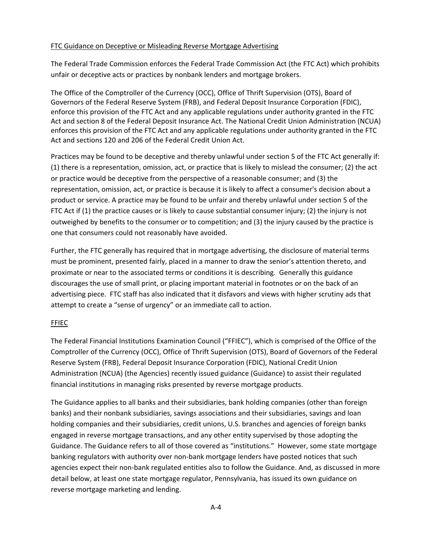## FTC Guidance on Deceptive or Misleading Reverse Mortgage Advertising

The Federal Trade Commission enforces the Federal Trade Commission Act (the FTC Act) which prohibits unfair or deceptive acts or practices by nonbank lenders and mortgage brokers.

The Office of the Comptroller of the Currency (OCC), Office of Thrift Supervision (OTS), Board of Governors of the Federal Reserve System (FRB), and Federal Deposit Insurance Corporation (FDIC), enforce this provision of the FTC Act and any applicable regulations under authority granted in the FTC Act and section 8 of the Federal Deposit Insurance Act. The National Credit Union Administration (NCUA) enforces this provision of the FTC Act and any applicable regulations under authority granted in the FTC Act and sections 120 and 206 of the Federal Credit Union Act.

Practices may be found to be deceptive and thereby unlawful under section 5 of the FTC Act generally if: (1) there is a representation, omission, act, or practice that is likely to mislead the consumer; (2) the act or practice would be deceptive from the perspective of a reasonable consumer; and (3) the representation, omission, act, or practice is because it is likely to affect a consumer's decision about a product or service. A practice may be found to be unfair and thereby unlawful under section 5 of the FTC Act if (1) the practice causes or is likely to cause substantial consumer injury; (2) the injury is not outweighed by benefits to the consumer or to competition; and (3) the injury caused by the practice is one that consumers could not reasonably have avoided.

Further, the FTC generally has required that in mortgage advertising, the disclosure of material terms must be prominent, presented fairly, placed in a manner to draw the senior's attention thereto, and proximate or near to the associated terms or conditions it is describing. Generally this guidance discourages the use of small print, or placing important material in footnotes or on the back of an advertising piece. FTC staff has also indicated that it disfavors and views with higher scrutiny ads that attempt to create a "sense of urgency" or an immediate call to action.

### FFIEC

The Federal Financial Institutions Examination Council ("FFIEC"), which is comprised of the Office of the Comptroller of the Currency (OCC), Office of Thrift Supervision (OTS), Board of Governors of the Federal Reserve System (FRB), Federal Deposit Insurance Corporation (FDIC), National Credit Union Administration (NCUA) (the Agencies) recently issued guidance (Guidance) to assist their regulated financial institutions in managing risks presented by reverse mortgage products.

The Guidance applies to all banks and their subsidiaries, bank holding companies (other than foreign banks) and their nonbank subsidiaries, savings associations and their subsidiaries, savings and loan holding companies and their subsidiaries, credit unions, U.S. branches and agencies of foreign banks engaged in reverse mortgage transactions, and any other entity supervised by those adopting the Guidance. The Guidance refers to all of those covered as "institutions." However, some state mortgage banking regulators with authority over non‐bank mortgage lenders have posted notices that such agencies expect their non‐bank regulated entities also to follow the Guidance. And, as discussed in more detail below, at least one state mortgage regulator, Pennsylvania, has issued its own guidance on reverse mortgage marketing and lending.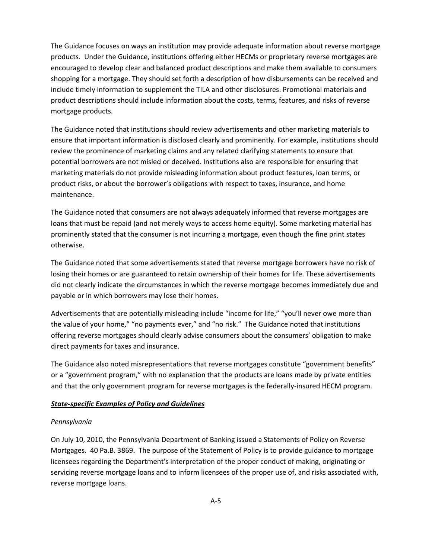The Guidance focuses on ways an institution may provide adequate information about reverse mortgage products. Under the Guidance, institutions offering either HECMs or proprietary reverse mortgages are encouraged to develop clear and balanced product descriptions and make them available to consumers shopping for a mortgage. They should set forth a description of how disbursements can be received and include timely information to supplement the TILA and other disclosures. Promotional materials and product descriptions should include information about the costs, terms, features, and risks of reverse mortgage products.

The Guidance noted that institutions should review advertisements and other marketing materials to ensure that important information is disclosed clearly and prominently. For example, institutions should review the prominence of marketing claims and any related clarifying statements to ensure that potential borrowers are not misled or deceived. Institutions also are responsible for ensuring that marketing materials do not provide misleading information about product features, loan terms, or product risks, or about the borrower's obligations with respect to taxes, insurance, and home maintenance.

The Guidance noted that consumers are not always adequately informed that reverse mortgages are loans that must be repaid (and not merely ways to access home equity). Some marketing material has prominently stated that the consumer is not incurring a mortgage, even though the fine print states otherwise.

The Guidance noted that some advertisements stated that reverse mortgage borrowers have no risk of losing their homes or are guaranteed to retain ownership of their homes for life. These advertisements did not clearly indicate the circumstances in which the reverse mortgage becomes immediately due and payable or in which borrowers may lose their homes.

Advertisements that are potentially misleading include "income for life," "you'll never owe more than the value of your home," "no payments ever," and "no risk." The Guidance noted that institutions offering reverse mortgages should clearly advise consumers about the consumers' obligation to make direct payments for taxes and insurance.

The Guidance also noted misrepresentations that reverse mortgages constitute "government benefits" or a "government program," with no explanation that the products are loans made by private entities and that the only government program for reverse mortgages is the federally-insured HECM program.

### *State‐specific Examples of Policy and Guidelines*

### *Pennsylvania*

On July 10, 2010, the Pennsylvania Department of Banking issued a Statements of Policy on Reverse Mortgages. 40 Pa.B. 3869. The purpose of the Statement of Policy is to provide guidance to mortgage licensees regarding the Department's interpretation of the proper conduct of making, originating or servicing reverse mortgage loans and to inform licensees of the proper use of, and risks associated with, reverse mortgage loans.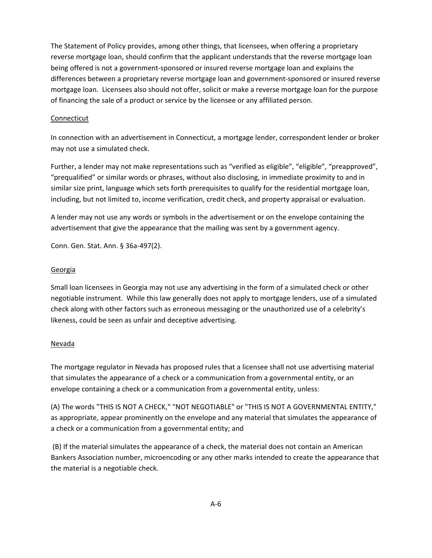The Statement of Policy provides, among other things, that licensees, when offering a proprietary reverse mortgage loan, should confirm that the applicant understands that the reverse mortgage loan being offered is not a government‐sponsored or insured reverse mortgage loan and explains the differences between a proprietary reverse mortgage loan and government‐sponsored or insured reverse mortgage loan. Licensees also should not offer, solicit or make a reverse mortgage loan for the purpose of financing the sale of a product or service by the licensee or any affiliated person.

#### Connecticut

In connection with an advertisement in Connecticut, a mortgage lender, correspondent lender or broker may not use a simulated check.

Further, a lender may not make representations such as "verified as eligible", "eligible", "preapproved", "prequalified" or similar words or phrases, without also disclosing, in immediate proximity to and in similar size print, language which sets forth prerequisites to qualify for the residential mortgage loan, including, but not limited to, income verification, credit check, and property appraisal or evaluation.

A lender may not use any words or symbols in the advertisement or on the envelope containing the advertisement that give the appearance that the mailing was sent by a government agency.

Conn. Gen. Stat. Ann. § 36a‐497(2).

### Georgia

Small loan licensees in Georgia may not use any advertising in the form of a simulated check or other negotiable instrument. While this law generally does not apply to mortgage lenders, use of a simulated check along with other factors such as erroneous messaging or the unauthorized use of a celebrity's likeness, could be seen as unfair and deceptive advertising.

### Nevada

The mortgage regulator in Nevada has proposed rules that a licensee shall not use advertising material that simulates the appearance of a check or a communication from a governmental entity, or an envelope containing a check or a communication from a governmental entity, unless:

(A) The words "THIS IS NOT A CHECK," "NOT NEGOTIABLE" or "THIS IS NOT A GOVERNMENTAL ENTITY," as appropriate, appear prominently on the envelope and any material that simulates the appearance of a check or a communication from a governmental entity; and

(B) If the material simulates the appearance of a check, the material does not contain an American Bankers Association number, microencoding or any other marks intended to create the appearance that the material is a negotiable check.